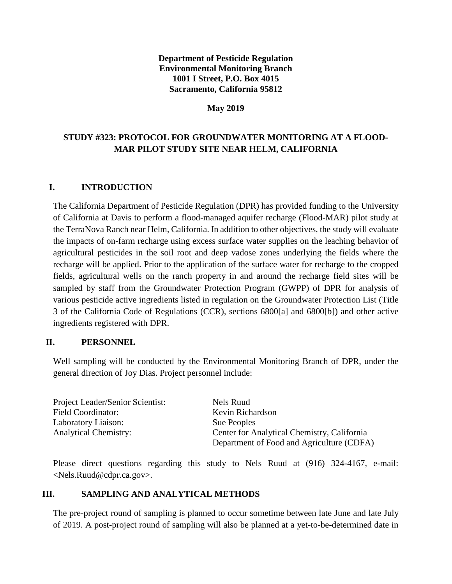### **Department of Pesticide Regulation Environmental Monitoring Branch 1001 I Street, P.O. Box 4015 Sacramento, California 95812**

#### **May 2019**

# **STUDY #323: PROTOCOL FOR GROUNDWATER MONITORING AT A FLOOD-MAR PILOT STUDY SITE NEAR HELM, CALIFORNIA**

### **I. INTRODUCTION**

The California Department of Pesticide Regulation (DPR) has provided funding to the University of California at Davis to perform a flood-managed aquifer recharge (Flood-MAR) pilot study at the TerraNova Ranch near Helm, California. In addition to other objectives, the study will evaluate the impacts of on-farm recharge using excess surface water supplies on the leaching behavior of agricultural pesticides in the soil root and deep vadose zones underlying the fields where the recharge will be applied. Prior to the application of the surface water for recharge to the cropped fields, agricultural wells on the ranch property in and around the recharge field sites will be sampled by staff from the Groundwater Protection Program (GWPP) of DPR for analysis of various pesticide active ingredients listed in regulation on the Groundwater Protection List (Title 3 of the California Code of Regulations (CCR), sections 6800[a] and 6800[b]) and other active ingredients registered with DPR.

#### **II. PERSONNEL**

Well sampling will be conducted by the Environmental Monitoring Branch of DPR, under the general direction of Joy Dias. Project personnel include:

Project Leader/Senior Scientist: Nels Ruud Field Coordinator: Kevin Richardson Laboratory Liaison: Sue Peoples Analytical Chemistry: Center for Analytical Chemistry, California Department of Food and Agriculture (CDFA)

Please direct questions regarding this study to Nels Ruud at (916) 324-4167, e-mail: <Nels.Ruud@cdpr.ca.gov>.

#### **III. SAMPLING AND ANALYTICAL METHODS**

The pre-project round of sampling is planned to occur sometime between late June and late July of 2019. A post-project round of sampling will also be planned at a yet-to-be-determined date in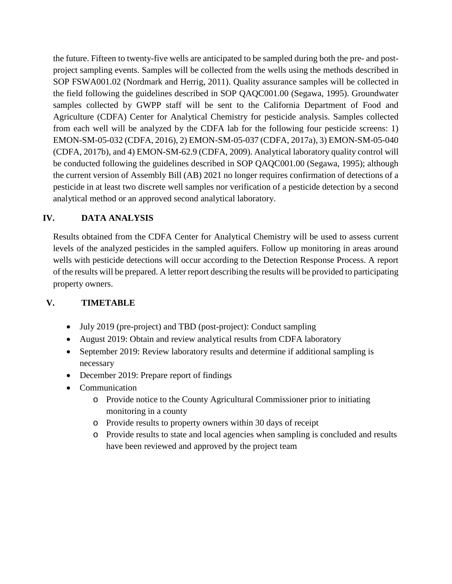the future. Fifteen to twenty-five wells are anticipated to be sampled during both the pre- and postproject sampling events. Samples will be collected from the wells using the methods described in SOP FSWA001.02 (Nordmark and Herrig, 2011). Quality assurance samples will be collected in the field following the guidelines described in SOP QAQC001.00 (Segawa, 1995). Groundwater samples collected by GWPP staff will be sent to the California Department of Food and Agriculture (CDFA) Center for Analytical Chemistry for pesticide analysis. Samples collected from each well will be analyzed by the CDFA lab for the following four pesticide screens: 1) EMON-SM-05-032 (CDFA, 2016), 2) EMON-SM-05-037 (CDFA, 2017a), 3) EMON-SM-05-040 (CDFA, 2017b), and 4) EMON-SM-62.9 (CDFA, 2009). Analytical laboratory quality control will be conducted following the guidelines described in SOP QAQC001.00 (Segawa, 1995); although the current version of Assembly Bill (AB) 2021 no longer requires confirmation of detections of a pesticide in at least two discrete well samples nor verification of a pesticide detection by a second analytical method or an approved second analytical laboratory.

## **IV. DATA ANALYSIS**

Results obtained from the CDFA Center for Analytical Chemistry will be used to assess current levels of the analyzed pesticides in the sampled aquifers. Follow up monitoring in areas around wells with pesticide detections will occur according to the Detection Response Process. A report of the results will be prepared. A letter report describing the results will be provided to participating property owners.

# **V. TIMETABLE**

- July 2019 (pre-project) and TBD (post-project): Conduct sampling
- August 2019: Obtain and review analytical results from CDFA laboratory
- September 2019: Review laboratory results and determine if additional sampling is necessary
- December 2019: Prepare report of findings
- Communication
	- o Provide notice to the County Agricultural Commissioner prior to initiating monitoring in a county
	- o Provide results to property owners within 30 days of receipt
	- o Provide results to state and local agencies when sampling is concluded and results have been reviewed and approved by the project team